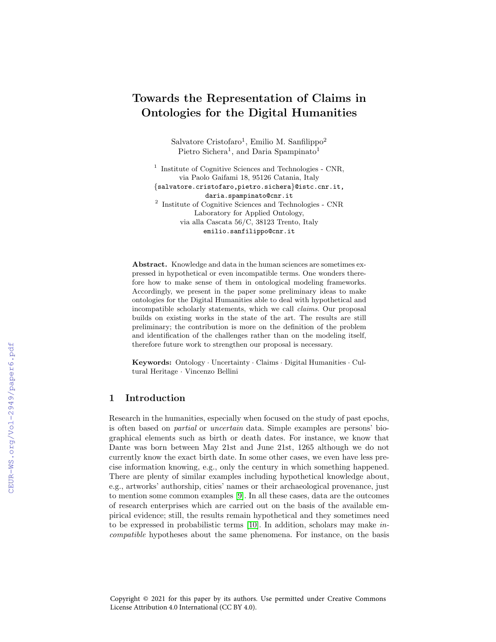# Towards the Representation of Claims in Ontologies for the Digital Humanities

Salvatore Cristofaro<sup>1</sup>, Emilio M. Sanfilippo<sup>2</sup> Pietro Sichera<sup>1</sup>, and Daria Spampinato<sup>1</sup>

<sup>1</sup> Institute of Cognitive Sciences and Technologies - CNR, via Paolo Gaifami 18, 95126 Catania, Italy {salvatore.cristofaro,pietro.sichera}@istc.cnr.it, daria.spampinato@cnr.it 2 Institute of Cognitive Sciences and Technologies - CNR Laboratory for Applied Ontology, via alla Cascata 56/C, 38123 Trento, Italy emilio.sanfilippo@cnr.it

Abstract. Knowledge and data in the human sciences are sometimes expressed in hypothetical or even incompatible terms. One wonders therefore how to make sense of them in ontological modeling frameworks. Accordingly, we present in the paper some preliminary ideas to make ontologies for the Digital Humanities able to deal with hypothetical and incompatible scholarly statements, which we call claims. Our proposal builds on existing works in the state of the art. The results are still preliminary; the contribution is more on the definition of the problem and identification of the challenges rather than on the modeling itself, therefore future work to strengthen our proposal is necessary.

Keywords: Ontology · Uncertainty · Claims · Digital Humanities · Cultural Heritage · Vincenzo Bellini

### 1 Introduction

Research in the humanities, especially when focused on the study of past epochs, is often based on partial or uncertain data. Simple examples are persons' biographical elements such as birth or death dates. For instance, we know that Dante was born between May 21st and June 21st, 1265 although we do not currently know the exact birth date. In some other cases, we even have less precise information knowing, e.g., only the century in which something happened. There are plenty of similar examples including hypothetical knowledge about, e.g., artworks' authorship, cities' names or their archaeological provenance, just to mention some common examples [\[9\]](#page--1-0). In all these cases, data are the outcomes of research enterprises which are carried out on the basis of the available empirical evidence; still, the results remain hypothetical and they sometimes need to be expressed in probabilistic terms [\[10\]](#page--1-1). In addition, scholars may make incompatible hypotheses about the same phenomena. For instance, on the basis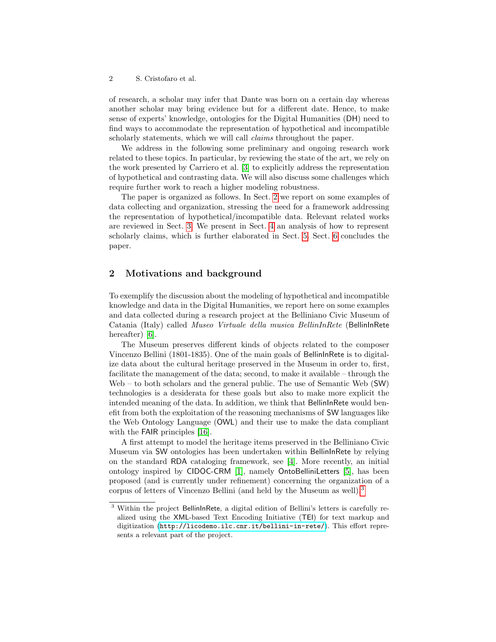of research, a scholar may infer that Dante was born on a certain day whereas another scholar may bring evidence but for a different date. Hence, to make sense of experts' knowledge, ontologies for the Digital Humanities (DH) need to find ways to accommodate the representation of hypothetical and incompatible scholarly statements, which we will call *claims* throughout the paper.

We address in the following some preliminary and ongoing research work related to these topics. In particular, by reviewing the state of the art, we rely on the work presented by Carriero et al. [\[3\]](#page-10-0) to explicitly address the representation of hypothetical and contrasting data. We will also discuss some challenges which require further work to reach a higher modeling robustness.

The paper is organized as follows. In Sect. [2](#page-1-0) we report on some examples of data collecting and organization, stressing the need for a framework addressing the representation of hypothetical/incompatible data. Relevant related works are reviewed in Sect. [3.](#page-2-0) We present in Sect. [4](#page-4-0) an analysis of how to represent scholarly claims, which is further elaborated in Sect. [5.](#page-5-0) Sect. [6](#page-10-1) concludes the paper.

### <span id="page-1-0"></span>2 Motivations and background

To exemplify the discussion about the modeling of hypothetical and incompatible knowledge and data in the Digital Humanities, we report here on some examples and data collected during a research project at the Belliniano Civic Museum of Catania (Italy) called Museo Virtuale della musica BellinInRete (BellinInRete hereafter) [\[6\]](#page-11-0).

The Museum preserves different kinds of objects related to the composer Vincenzo Bellini (1801-1835). One of the main goals of BellinInRete is to digitalize data about the cultural heritage preserved in the Museum in order to, first, facilitate the management of the data; second, to make it available – through the Web – to both scholars and the general public. The use of Semantic Web (SW) technologies is a desiderata for these goals but also to make more explicit the intended meaning of the data. In addition, we think that BellinInRete would benefit from both the exploitation of the reasoning mechanisms of SW languages like the Web Ontology Language (OWL) and their use to make the data compliant with the FAIR principles [\[16\]](#page-11-1).

A first attempt to model the heritage items preserved in the Belliniano Civic Museum via SW ontologies has been undertaken within BellinInRete by relying on the standard RDA cataloging framework, see [\[4\]](#page-11-2). More recently, an initial ontology inspired by CIDOC-CRM [\[1\]](#page-10-2), namely OntoBelliniLetters [\[5\]](#page-11-3), has been proposed (and is currently under refinement) concerning the organization of a corpus of letters of Vincenzo Bellini (and held by the Museum as well).[3](#page-1-1)

<span id="page-1-1"></span><sup>&</sup>lt;sup>3</sup> Within the project BellinInRete, a digital edition of Bellini's letters is carefully realized using the XML-based Text Encoding Initiative (TEI) for text markup and digitization (<http://licodemo.ilc.cnr.it/bellini-in-rete/>). This effort represents a relevant part of the project.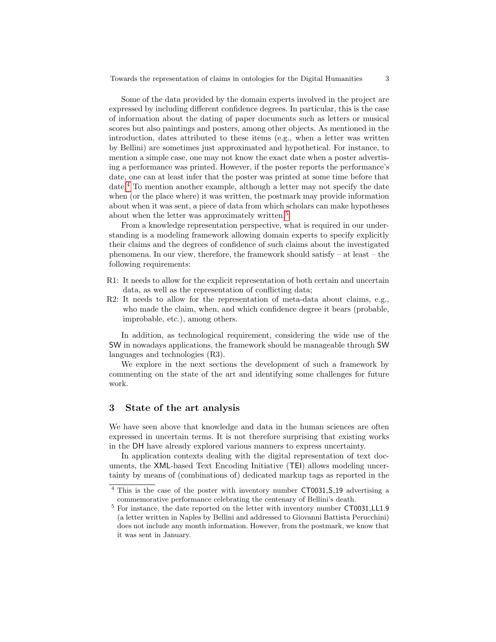Towards the representation of claims in ontologies for the Digital Humanities 3

Some of the data provided by the domain experts involved in the project are expressed by including different confidence degrees. In particular, this is the case of information about the dating of paper documents such as letters or musical scores but also paintings and posters, among other objects. As mentioned in the introduction, dates attributed to these items (e.g., when a letter was written by Bellini) are sometimes just approximated and hypothetical. For instance, to mention a simple case, one may not know the exact date when a poster advertising a performance was printed. However, if the poster reports the performance's date, one can at least infer that the poster was printed at some time before that date.[4](#page-2-1) To mention another example, although a letter may not specify the date when (or the place where) it was written, the postmark may provide information about when it was sent, a piece of data from which scholars can make hypotheses about when the letter was approximately written.<sup>[5](#page-2-2)</sup>

From a knowledge representation perspective, what is required in our understanding is a modeling framework allowing domain experts to specify explicitly their claims and the degrees of confidence of such claims about the investigated phenomena. In our view, therefore, the framework should satisfy – at least – the following requirements:

- R1: It needs to allow for the explicit representation of both certain and uncertain data, as well as the representation of conflicting data;
- R2: It needs to allow for the representation of meta-data about claims, e.g., who made the claim, when, and which confidence degree it bears (probable, improbable, etc.), among others.

In addition, as technological requirement, considering the wide use of the SW in nowadays applications, the framework should be manageable through SW languages and technologies (R3).

We explore in the next sections the development of such a framework by commenting on the state of the art and identifying some challenges for future work.

### <span id="page-2-0"></span>3 State of the art analysis

We have seen above that knowledge and data in the human sciences are often expressed in uncertain terms. It is not therefore surprising that existing works in the DH have already explored various manners to express uncertainty.

In application contexts dealing with the digital representation of text documents, the XML-based Text Encoding Initiative (TEI) allows modeling uncertainty by means of (combinations of) dedicated markup tags as reported in the

<span id="page-2-1"></span><sup>&</sup>lt;sup>4</sup> This is the case of the poster with inventory number CT0031\_S\_19 advertising a commemorative performance celebrating the centenary of Bellini's death.

<span id="page-2-2"></span><sup>5</sup> For instance, the date reported on the letter with inventory number CT0031 LL1.9 (a letter written in Naples by Bellini and addressed to Giovanni Battista Perucchini) does not include any month information. However, from the postmark, we know that it was sent in January.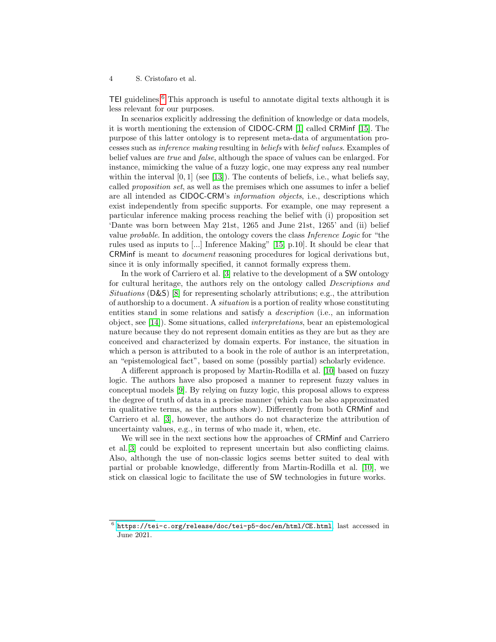TEI guidelines.[6](#page-3-0) This approach is useful to annotate digital texts although it is less relevant for our purposes.

In scenarios explicitly addressing the definition of knowledge or data models, it is worth mentioning the extension of CIDOC-CRM [\[1\]](#page-10-2) called CRMinf [\[15\]](#page-11-4). The purpose of this latter ontology is to represent meta-data of argumentation processes such as inference making resulting in beliefs with belief values. Examples of belief values are true and false, although the space of values can be enlarged. For instance, mimicking the value of a fuzzy logic, one may express any real number within the interval  $[0, 1]$  (see [\[13\]](#page-11-5)). The contents of beliefs, i.e., what beliefs say, called proposition set, as well as the premises which one assumes to infer a belief are all intended as CIDOC-CRM's information objects, i.e., descriptions which exist independently from specific supports. For example, one may represent a particular inference making process reaching the belief with (i) proposition set 'Dante was born between May 21st, 1265 and June 21st, 1265' and (ii) belief value probable. In addition, the ontology covers the class Inference Logic for "the rules used as inputs to [...] Inference Making" [\[15,](#page-11-4) p.10]. It should be clear that CRMinf is meant to document reasoning procedures for logical derivations but, since it is only informally specified, it cannot formally express them.

In the work of Carriero et al. [\[3\]](#page-10-0) relative to the development of a SW ontology for cultural heritage, the authors rely on the ontology called Descriptions and Situations (D&S) [\[8\]](#page-11-6) for representing scholarly attributions; e.g., the attribution of authorship to a document. A situation is a portion of reality whose constituting entities stand in some relations and satisfy a description (i.e., an information object, see [\[14\]](#page-11-7)). Some situations, called interpretations, bear an epistemological nature because they do not represent domain entities as they are but as they are conceived and characterized by domain experts. For instance, the situation in which a person is attributed to a book in the role of author is an interpretation, an "epistemological fact", based on some (possibly partial) scholarly evidence.

A different approach is proposed by Martin-Rodilla et al. [\[10\]](#page-11-8) based on fuzzy logic. The authors have also proposed a manner to represent fuzzy values in conceptual models [\[9\]](#page-11-9). By relying on fuzzy logic, this proposal allows to express the degree of truth of data in a precise manner (which can be also approximated in qualitative terms, as the authors show). Differently from both CRMinf and Carriero et al. [\[3\]](#page-10-0), however, the authors do not characterize the attribution of uncertainty values, e.g., in terms of who made it, when, etc.

We will see in the next sections how the approaches of CRMinf and Carriero et al.[\[3\]](#page-10-0) could be exploited to represent uncertain but also conflicting claims. Also, although the use of non-classic logics seems better suited to deal with partial or probable knowledge, differently from Martin-Rodilla et al. [\[10\]](#page-11-8), we stick on classical logic to facilitate the use of SW technologies in future works.

<span id="page-3-0"></span> $^6$ <https://tei-c.org/release/doc/tei-p5-doc/en/html/CE.html>, last accessed in June 2021.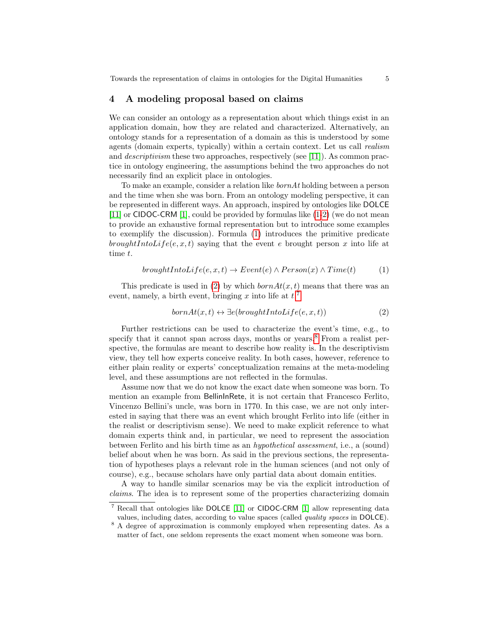#### <span id="page-4-0"></span>4 A modeling proposal based on claims

We can consider an ontology as a representation about which things exist in an application domain, how they are related and characterized. Alternatively, an ontology stands for a representation of a domain as this is understood by some agents (domain experts, typically) within a certain context. Let us call realism and descriptivism these two approaches, respectively (see [\[11\]](#page-11-10)). As common practice in ontology engineering, the assumptions behind the two approaches do not necessarily find an explicit place in ontologies.

To make an example, consider a relation like bornAt holding between a person and the time when she was born. From an ontology modeling perspective, it can be represented in different ways. An approach, inspired by ontologies like DOLCE [\[11\]](#page-11-10) or CIDOC-CRM [\[1\]](#page-10-2), could be provided by formulas like [\(1-](#page-4-1)[2\)](#page-4-2) (we do not mean to provide an exhaustive formal representation but to introduce some examples to exemplify the discussion). Formula [\(1\)](#page-4-1) introduces the primitive predicate broughtIntoLife(e, x, t) saying that the event e brought person x into life at time t.

<span id="page-4-1"></span>
$$
broughtIntoLife(e, x, t) \rightarrow Event(e) \land Person(x) \land Time(t)
$$
 (1)

This predicate is used in [\(2\)](#page-4-2) by which  $bornAt(x, t)$  means that there was an event, namely, a birth event, bringing x into life at  $t$ <sup>[7](#page-4-3)</sup>.

<span id="page-4-2"></span>
$$
bornAt(x, t) \leftrightarrow \exists e (broughtIntoLife(e, x, t))
$$
\n
$$
(2)
$$

Further restrictions can be used to characterize the event's time, e.g., to specify that it cannot span across days, months or years.<sup>[8](#page-4-4)</sup> From a realist perspective, the formulas are meant to describe how reality is. In the descriptivism view, they tell how experts conceive reality. In both cases, however, reference to either plain reality or experts' conceptualization remains at the meta-modeling level, and these assumptions are not reflected in the formulas.

Assume now that we do not know the exact date when someone was born. To mention an example from BellinInRete, it is not certain that Francesco Ferlito, Vincenzo Bellini's uncle, was born in 1770. In this case, we are not only interested in saying that there was an event which brought Ferlito into life (either in the realist or descriptivism sense). We need to make explicit reference to what domain experts think and, in particular, we need to represent the association between Ferlito and his birth time as an hypothetical assessment, i.e., a (sound) belief about when he was born. As said in the previous sections, the representation of hypotheses plays a relevant role in the human sciences (and not only of course), e.g., because scholars have only partial data about domain entities.

A way to handle similar scenarios may be via the explicit introduction of claims. The idea is to represent some of the properties characterizing domain

<span id="page-4-3"></span><sup>7</sup> Recall that ontologies like DOLCE [\[11\]](#page-11-10) or CIDOC-CRM [\[1\]](#page-10-2) allow representing data values, including dates, according to value spaces (called quality spaces in DOLCE).

<span id="page-4-4"></span><sup>&</sup>lt;sup>8</sup> A degree of approximation is commonly employed when representing dates. As a matter of fact, one seldom represents the exact moment when someone was born.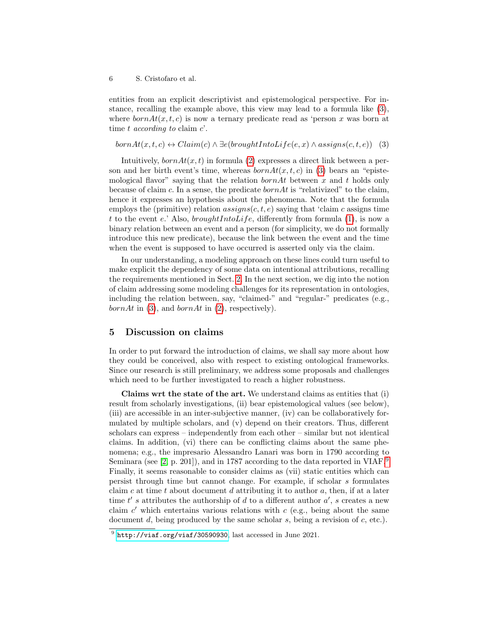entities from an explicit descriptivist and epistemological perspective. For instance, recalling the example above, this view may lead to a formula like [\(3\)](#page-5-1), where  $bornAt(x, t, c)$  is now a ternary predicate read as 'person x was born at time t according to claim  $c'$ .

<span id="page-5-1"></span> $bornAt(x, t, c) \leftrightarrow Claim(c) \land \exists e(broughtIntoLife(e, x) \land assigns(c, t, e))$  (3)

Intuitively,  $bornAt(x, t)$  in formula [\(2\)](#page-4-2) expresses a direct link between a person and her birth event's time, whereas  $bornAt(x, t, c)$  in [\(3\)](#page-5-1) bears an "epistemological flavor" saying that the relation  $bornAt$  between x and t holds only because of claim c. In a sense, the predicate  $bornAt$  is "relativized" to the claim, hence it expresses an hypothesis about the phenomena. Note that the formula employs the (primitive) relation  $assigns(c, t, e)$  saying that 'claim c assigns time t to the event e.' Also, *broughtIntoLife*, differently from formula [\(1\)](#page-4-1), is now a binary relation between an event and a person (for simplicity, we do not formally introduce this new predicate), because the link between the event and the time when the event is supposed to have occurred is asserted only via the claim.

In our understanding, a modeling approach on these lines could turn useful to make explicit the dependency of some data on intentional attributions, recalling the requirements mentioned in Sect. [2.](#page-1-0) In the next section, we dig into the notion of claim addressing some modeling challenges for its representation in ontologies, including the relation between, say, "claimed-" and "regular-" predicates (e.g., bornAt in  $(3)$ , and bornAt in  $(2)$ , respectively).

# <span id="page-5-0"></span>5 Discussion on claims

In order to put forward the introduction of claims, we shall say more about how they could be conceived, also with respect to existing ontological frameworks. Since our research is still preliminary, we address some proposals and challenges which need to be further investigated to reach a higher robustness.

Claims wrt the state of the art. We understand claims as entities that (i) result from scholarly investigations, (ii) bear epistemological values (see below), (iii) are accessible in an inter-subjective manner, (iv) can be collaboratively formulated by multiple scholars, and (v) depend on their creators. Thus, different scholars can express – independently from each other – similar but not identical claims. In addition, (vi) there can be conflicting claims about the same phenomena; e.g., the impresario Alessandro Lanari was born in 1790 according to Seminara (see [\[2,](#page-10-3) p. 201]), and in 1787 according to the data reported in VIAF.<sup>[9](#page-5-2)</sup> Finally, it seems reasonable to consider claims as (vii) static entities which can persist through time but cannot change. For example, if scholar s formulates claim  $c$  at time  $t$  about document  $d$  attributing it to author  $a$ , then, if at a later time  $t'$  s attributes the authorship of d to a different author  $a'$ , s creates a new claim  $c'$  which entertains various relations with  $c$  (e.g., being about the same document d, being produced by the same scholar  $s$ , being a revision of  $c$ , etc.).

<span id="page-5-2"></span> $^9$  <http://viaf.org/viaf/30590930>, last accessed in June 2021.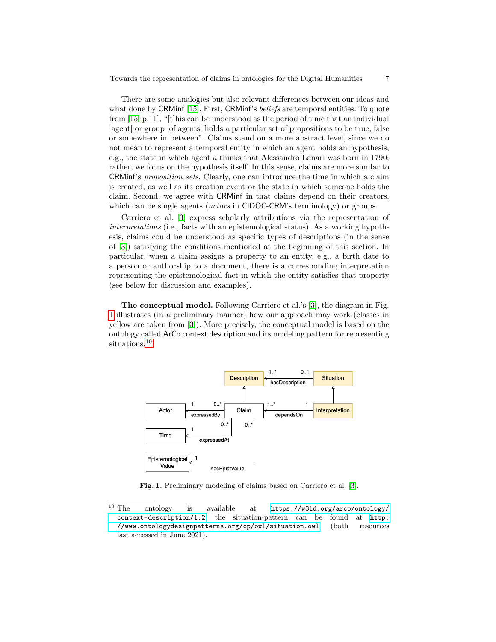There are some analogies but also relevant differences between our ideas and what done by CRMinf [\[15\]](#page-11-4). First, CRMinf's *beliefs* are temporal entities. To quote from  $[15, p.11]$  $[15, p.11]$ , "[t]his can be understood as the period of time that an individual [agent] or group [of agents] holds a particular set of propositions to be true, false or somewhere in between". Claims stand on a more abstract level, since we do not mean to represent a temporal entity in which an agent holds an hypothesis, e.g., the state in which agent a thinks that Alessandro Lanari was born in 1790; rather, we focus on the hypothesis itself. In this sense, claims are more similar to CRMinf's proposition sets. Clearly, one can introduce the time in which a claim is created, as well as its creation event or the state in which someone holds the claim. Second, we agree with CRMinf in that claims depend on their creators, which can be single agents (*actors* in CIDOC-CRM's terminology) or groups.

Carriero et al. [\[3\]](#page-10-0) express scholarly attributions via the representation of interpretations (i.e., facts with an epistemological status). As a working hypothesis, claims could be understood as specific types of descriptions (in the sense of [\[3\]](#page-10-0)) satisfying the conditions mentioned at the beginning of this section. In particular, when a claim assigns a property to an entity, e.g., a birth date to a person or authorship to a document, there is a corresponding interpretation representing the epistemological fact in which the entity satisfies that property (see below for discussion and examples).

The conceptual model. Following Carriero et al.'s [\[3\]](#page-10-0), the diagram in Fig. [1](#page-6-0) illustrates (in a preliminary manner) how our approach may work (classes in yellow are taken from [\[3\]](#page-10-0)). More precisely, the conceptual model is based on the ontology called ArCo context description and its modeling pattern for representing situations.<sup>[10](#page-6-1)</sup>



<span id="page-6-0"></span>Fig. 1. Preliminary modeling of claims based on Carriero et al. [\[3\]](#page-10-0).

<span id="page-6-1"></span> $\overline{10}$  The ontology is available at [https://w3id.org/arco/ontology/](https://w3id.org/arco/ontology/context-description/1.2) [context-description/1.2](https://w3id.org/arco/ontology/context-description/1.2); the situation-pattern can be found at [http:](http://www.ontologydesignpatterns.org/cp/owl/situation.owl) [//www.ontologydesignpatterns.org/cp/owl/situation.owl](http://www.ontologydesignpatterns.org/cp/owl/situation.owl) (both resources last accessed in June 2021).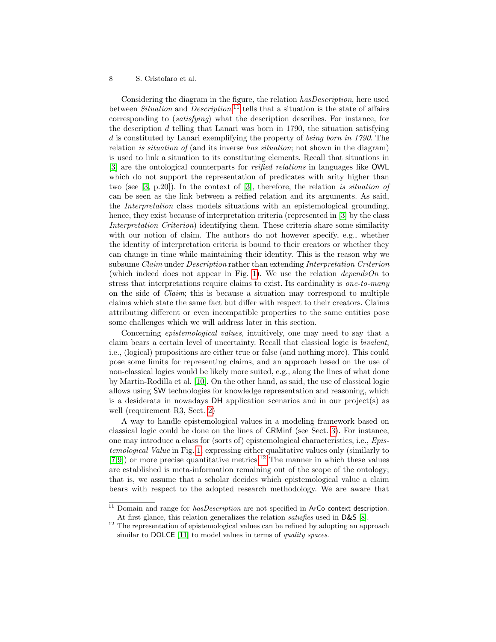Considering the diagram in the figure, the relation hasDescription, here used between *Situation* and *Description*,<sup>[11](#page-7-0)</sup> tells that a situation is the state of affairs corresponding to (satisfying) what the description describes. For instance, for the description  $d$  telling that Lanari was born in 1790, the situation satisfying d is constituted by Lanari exemplifying the property of being born in 1790. The relation is situation of (and its inverse has situation; not shown in the diagram) is used to link a situation to its constituting elements. Recall that situations in [\[3\]](#page-10-0) are the ontological counterparts for reified relations in languages like OWL which do not support the representation of predicates with arity higher than two (see [\[3,](#page-10-0) p.20]). In the context of [\[3\]](#page-10-0), therefore, the relation is situation of can be seen as the link between a reified relation and its arguments. As said, the Interpretation class models situations with an epistemological grounding, hence, they exist because of interpretation criteria (represented in [\[3\]](#page-10-0) by the class Interpretation Criterion) identifying them. These criteria share some similarity with our notion of claim. The authors do not however specify, e.g., whether the identity of interpretation criteria is bound to their creators or whether they can change in time while maintaining their identity. This is the reason why we subsume Claim under Description rather than extending Interpretation Criterion (which indeed does not appear in Fig. [1\)](#page-6-0). We use the relation *dependsOn* to stress that interpretations require claims to exist. Its cardinality is one-to-many on the side of Claim; this is because a situation may correspond to multiple claims which state the same fact but differ with respect to their creators. Claims attributing different or even incompatible properties to the same entities pose some challenges which we will address later in this section.

Concerning epistemological values, intuitively, one may need to say that a claim bears a certain level of uncertainty. Recall that classical logic is bivalent, i.e., (logical) propositions are either true or false (and nothing more). This could pose some limits for representing claims, and an approach based on the use of non-classical logics would be likely more suited, e.g., along the lines of what done by Martin-Rodilla et al. [\[10\]](#page-11-8). On the other hand, as said, the use of classical logic allows using SW technologies for knowledge representation and reasoning, which is a desiderata in nowadays DH application scenarios and in our project(s) as well (requirement R3, Sect. [2\)](#page-1-0)

A way to handle epistemological values in a modeling framework based on classical logic could be done on the lines of CRMinf (see Sect. [3\)](#page-2-0). For instance, one may introduce a class for (sorts of) epistemological characteristics, i.e., Epistemological Value in Fig. [1,](#page-6-0) expressing either qualitative values only (similarly to [\[7,](#page-11-11)[9\]](#page-11-9)) or more precise quantitative metrics.[12](#page-7-1) The manner in which these values are established is meta-information remaining out of the scope of the ontology; that is, we assume that a scholar decides which epistemological value a claim bears with respect to the adopted research methodology. We are aware that

<span id="page-7-0"></span> $11$  Domain and range for  $hasDescription$  are not specified in ArCo context description. At first glance, this relation generalizes the relation *satisfies* used in D&S [\[8\]](#page-11-6).

<span id="page-7-1"></span> $12$  The representation of epistemological values can be refined by adopting an approach similar to DOLCE [\[11\]](#page-11-10) to model values in terms of *quality spaces*.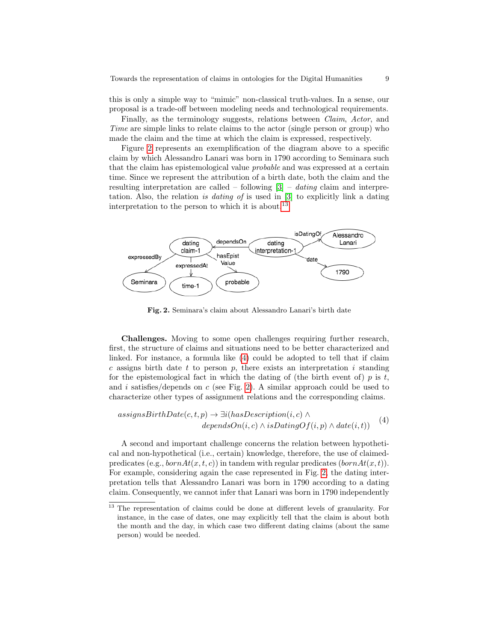this is only a simple way to "mimic" non-classical truth-values. In a sense, our proposal is a trade-off between modeling needs and technological requirements.

Finally, as the terminology suggests, relations between Claim, Actor, and Time are simple links to relate claims to the actor (single person or group) who made the claim and the time at which the claim is expressed, respectively.

Figure [2](#page-8-0) represents an exemplification of the diagram above to a specific claim by which Alessandro Lanari was born in 1790 according to Seminara such that the claim has epistemological value probable and was expressed at a certain time. Since we represent the attribution of a birth date, both the claim and the resulting interpretation are called – following  $[3]$  – *dating* claim and interpretation. Also, the relation is dating of is used in [\[3\]](#page-10-0) to explicitly link a dating interpretation to the person to which it is about.<sup>[13](#page-8-1)</sup>



<span id="page-8-2"></span><span id="page-8-0"></span>Fig. 2. Seminara's claim about Alessandro Lanari's birth date

Challenges. Moving to some open challenges requiring further research, first, the structure of claims and situations need to be better characterized and linked. For instance, a formula like [\(4\)](#page-8-2) could be adopted to tell that if claim c assigns birth date t to person p, there exists an interpretation i standing for the epistemological fact in which the dating of (the birth event of)  $p$  is  $t$ , and i satisfies/depends on c (see Fig. [2\)](#page-8-0). A similar approach could be used to characterize other types of assignment relations and the corresponding claims.

$$
assigns BirthDate(c, t, p) \rightarrow \exists i (hasDescription(i, c) \land dependsOn(i, c) \land isDatingOf(i, p) \land date(i, t))
$$
(4)

A second and important challenge concerns the relation between hypothetical and non-hypothetical (i.e., certain) knowledge, therefore, the use of claimedpredicates (e.g.,  $bornAt(x, t, c)$ ) in tandem with regular predicates ( $bornAt(x, t)$ ). For example, considering again the case represented in Fig. [2,](#page-8-0) the dating interpretation tells that Alessandro Lanari was born in 1790 according to a dating claim. Consequently, we cannot infer that Lanari was born in 1790 independently

<span id="page-8-1"></span><sup>&</sup>lt;sup>13</sup> The representation of claims could be done at different levels of granularity. For instance, in the case of dates, one may explicitly tell that the claim is about both the month and the day, in which case two different dating claims (about the same person) would be needed.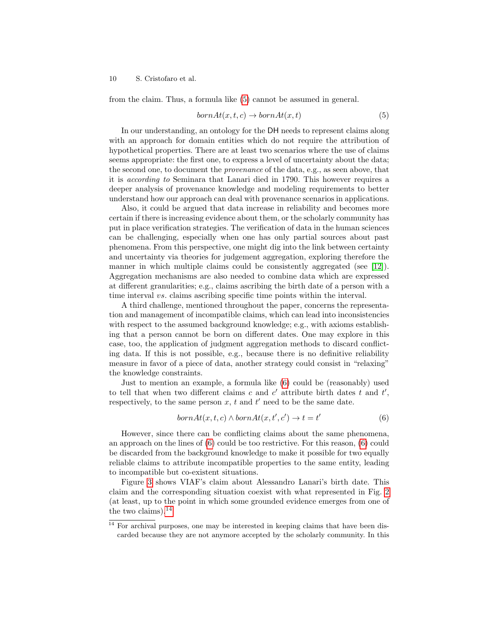from the claim. Thus, a formula like [\(5\)](#page-9-0) cannot be assumed in general.

<span id="page-9-0"></span>
$$
bornAt(x, t, c) \rightarrow bornAt(x, t)
$$
\n
$$
(5)
$$

In our understanding, an ontology for the DH needs to represent claims along with an approach for domain entities which do not require the attribution of hypothetical properties. There are at least two scenarios where the use of claims seems appropriate: the first one, to express a level of uncertainty about the data; the second one, to document the provenance of the data, e.g., as seen above, that it is according to Seminara that Lanari died in 1790. This however requires a deeper analysis of provenance knowledge and modeling requirements to better understand how our approach can deal with provenance scenarios in applications.

Also, it could be argued that data increase in reliability and becomes more certain if there is increasing evidence about them, or the scholarly community has put in place verification strategies. The verification of data in the human sciences can be challenging, especially when one has only partial sources about past phenomena. From this perspective, one might dig into the link between certainty and uncertainty via theories for judgement aggregation, exploring therefore the manner in which multiple claims could be consistently aggregated (see [\[12\]](#page-11-12)). Aggregation mechanisms are also needed to combine data which are expressed at different granularities; e.g., claims ascribing the birth date of a person with a time interval vs. claims ascribing specific time points within the interval.

A third challenge, mentioned throughout the paper, concerns the representation and management of incompatible claims, which can lead into inconsistencies with respect to the assumed background knowledge; e.g., with axioms establishing that a person cannot be born on different dates. One may explore in this case, too, the application of judgment aggregation methods to discard conflicting data. If this is not possible, e.g., because there is no definitive reliability measure in favor of a piece of data, another strategy could consist in "relaxing" the knowledge constraints.

Just to mention an example, a formula like [\(6\)](#page-9-1) could be (reasonably) used to tell that when two different claims c and  $c'$  attribute birth dates t and  $t'$ , respectively, to the same person  $x$ ,  $t$  and  $t'$  need to be the same date.

<span id="page-9-1"></span>
$$
bornAt(x, t, c) \land bornAt(x, t', c') \to t = t'
$$
\n
$$
(6)
$$

However, since there can be conflicting claims about the same phenomena, an approach on the lines of [\(6\)](#page-9-1) could be too restrictive. For this reason, [\(6\)](#page-9-1) could be discarded from the background knowledge to make it possible for two equally reliable claims to attribute incompatible properties to the same entity, leading to incompatible but co-existent situations.

Figure [3](#page-10-4) shows VIAF's claim about Alessandro Lanari's birth date. This claim and the corresponding situation coexist with what represented in Fig. [2](#page-8-0) (at least, up to the point in which some grounded evidence emerges from one of the two claims). $14$ 

<span id="page-9-2"></span> $14$  For archival purposes, one may be interested in keeping claims that have been discarded because they are not anymore accepted by the scholarly community. In this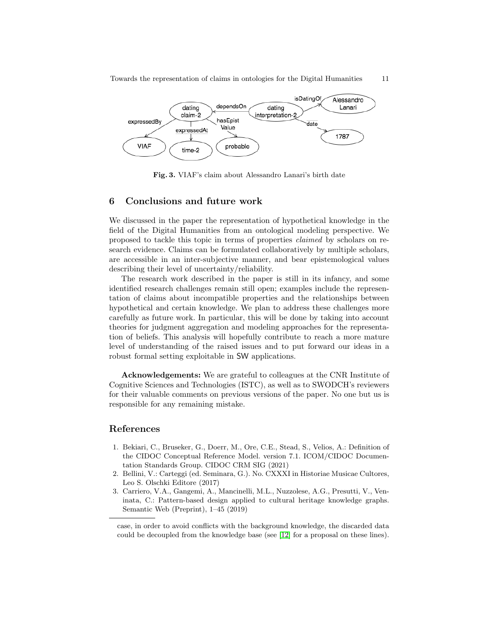

<span id="page-10-4"></span>Fig. 3. VIAF's claim about Alessandro Lanari's birth date

# <span id="page-10-1"></span>6 Conclusions and future work

We discussed in the paper the representation of hypothetical knowledge in the field of the Digital Humanities from an ontological modeling perspective. We proposed to tackle this topic in terms of properties claimed by scholars on research evidence. Claims can be formulated collaboratively by multiple scholars, are accessible in an inter-subjective manner, and bear epistemological values describing their level of uncertainty/reliability.

The research work described in the paper is still in its infancy, and some identified research challenges remain still open; examples include the representation of claims about incompatible properties and the relationships between hypothetical and certain knowledge. We plan to address these challenges more carefully as future work. In particular, this will be done by taking into account theories for judgment aggregation and modeling approaches for the representation of beliefs. This analysis will hopefully contribute to reach a more mature level of understanding of the raised issues and to put forward our ideas in a robust formal setting exploitable in SW applications.

Acknowledgements: We are grateful to colleagues at the CNR Institute of Cognitive Sciences and Technologies (ISTC), as well as to SWODCH's reviewers for their valuable comments on previous versions of the paper. No one but us is responsible for any remaining mistake.

# References

- <span id="page-10-2"></span>1. Bekiari, C., Bruseker, G., Doerr, M., Ore, C.E., Stead, S., Velios, A.: Definition of the CIDOC Conceptual Reference Model. version 7.1. ICOM/CIDOC Documentation Standards Group. CIDOC CRM SIG (2021)
- <span id="page-10-3"></span>2. Bellini, V.: Carteggi (ed. Seminara, G.). No. CXXXI in Historiae Musicae Cultores, Leo S. Olschki Editore (2017)
- <span id="page-10-0"></span>3. Carriero, V.A., Gangemi, A., Mancinelli, M.L., Nuzzolese, A.G., Presutti, V., Veninata, C.: Pattern-based design applied to cultural heritage knowledge graphs. Semantic Web (Preprint), 1–45 (2019)

case, in order to avoid conflicts with the background knowledge, the discarded data could be decoupled from the knowledge base (see [\[12\]](#page-11-12) for a proposal on these lines).